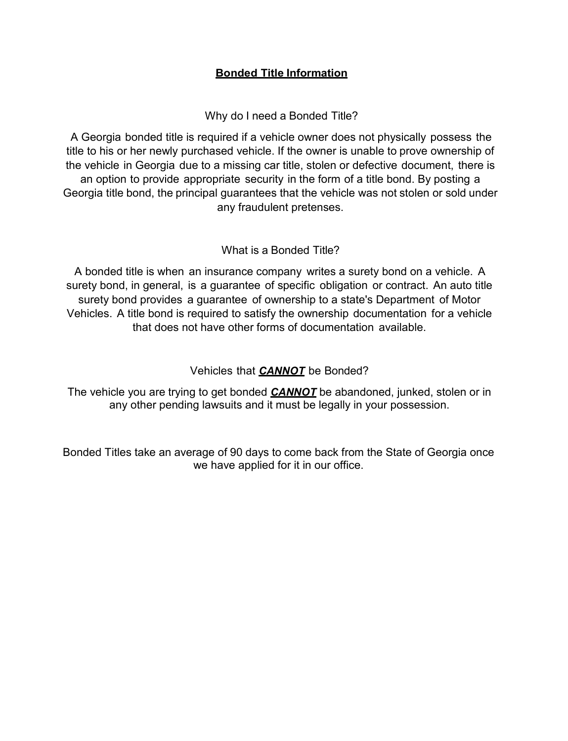## **Bonded Title Information**

Why do I need a Bonded Title?

A Georgia bonded title is required if a vehicle owner does not physically possess the title to his or her newly purchased vehicle. If the owner is unable to prove ownership of the vehicle in Georgia due to a missing car title, stolen or defective document, there is an option to provide appropriate security in the form of a title bond. By posting a Georgia title bond, the principal guarantees that the vehicle was not stolen or sold under any fraudulent pretenses.

What is a Bonded Title?

A bonded title is when an insurance company writes a surety bond on a vehicle. A surety bond, in general, is a guarantee of specific obligation or contract. An auto title surety bond provides a guarantee of ownership to a state's Department of Motor Vehicles. A title bond is required to satisfy the ownership documentation for a vehicle that does not have other forms of documentation available.

Vehicles that *CANNOT* be Bonded?

The vehicle you are trying to get bonded *CANNOT* be abandoned, junked, stolen or in any other pending lawsuits and it must be legally in your possession.

Bonded Titles take an average of 90 days to come back from the State of Georgia once we have applied for it in our office.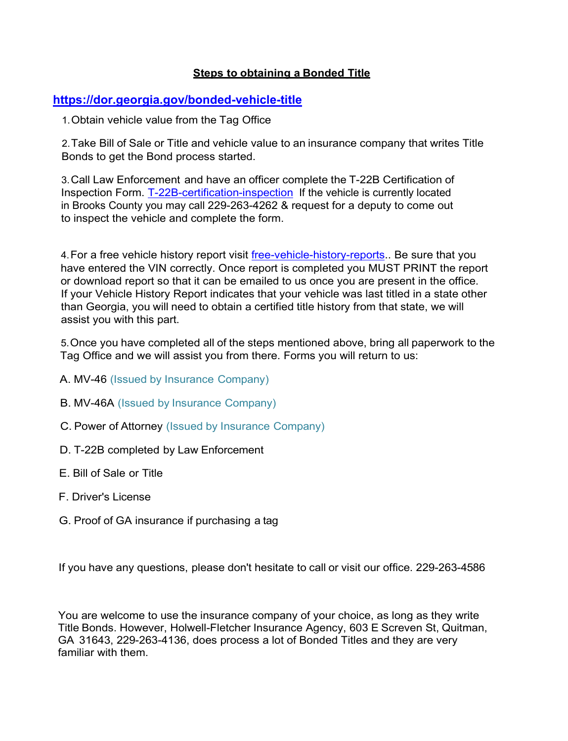## **Steps to obtaining a Bonded Title**

## **<https://dor.georgia.gov/bonded-vehicle-title>**

1.Obtain vehicle value from the Tag Office

2.Take Bill of Sale or Title and vehicle value to an insurance company that writes Title Bonds to get the Bond process started.

3.Call Law Enforcement and have an officer complete the T-22B Certification of Inspection Form. [T-22B-certification-inspection](https://dor.georgia.gov/t-22b-certification-inspection) If the vehicle is currently located in Brooks County you may call 229-263-4262 & request for a deputy to come out to inspect the vehicle and complete the form.

4. For a free vehicle history report visit [free-vehicle-history-reports.](https://www.carsforsale.com/free-vehicle-history-reports). Be sure that you have entered the VIN correctly. Once report is completed you MUST PRINT the report or download report so that it can be emailed to us once you are present in the office. If your Vehicle History Report indicates that your vehicle was last titled in a state other than Georgia, you will need to obtain a certified title history from that state, we will assist you with this part.

5.Once you have completed all of the steps mentioned above, bring all paperwork to the Tag Office and we will assist you from there. Forms you will return to us:

- A. MV-46 (Issued by Insurance Company)
- B. MV-46A (Issued by Insurance Company)
- C. Power of Attorney (Issued by Insurance Company)
- D. T-22B completed by Law Enforcement
- E. Bill of Sale or Title
- F. Driver's License
- G. Proof of GA insurance if purchasing a tag

If you have any questions, please don't hesitate to call or visit our office. 229-263-4586

You are welcome to use the insurance company of your choice, as long as they write Title Bonds. However, Holwell-Fletcher Insurance Agency, 603 E Screven St, Quitman, GA 31643, 229-263-4136, does process a lot of Bonded Titles and they are very familiar with them.